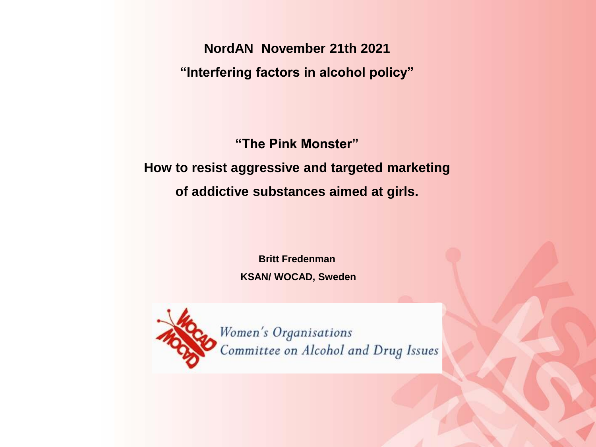**NordAN November 21th 2021 "Interfering factors in alcohol policy"**

**"The Pink Monster"**

**How to resist aggressive and targeted marketing of addictive substances aimed at girls.** 

> **Britt Fredenman KSAN/ WOCAD, Sweden**



Women's Organisations Committee on Alcohol and Drug Issues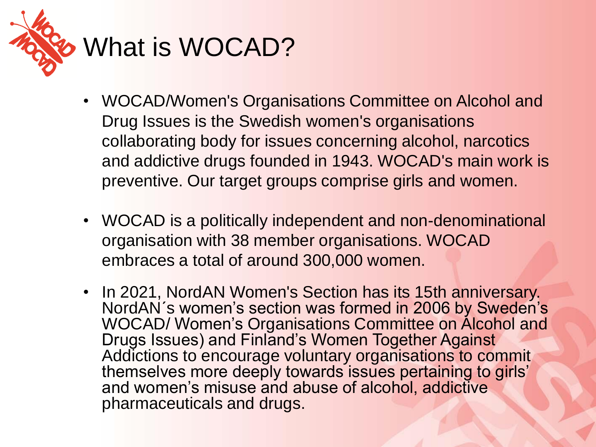

- 
- WOCAD/Women's Organisations Committee on Alcohol and Drug Issues is the Swedish women's organisations collaborating body for issues concerning alcohol, narcotics and addictive drugs founded in 1943. WOCAD's main work is preventive. Our target groups comprise girls and women.
- WOCAD is a politically independent and non-denominational organisation with 38 member organisations. WOCAD embraces a total of around 300,000 women.
- In 2021, NordAN Women's Section has its 15th anniversary. NordAN´s women's section was formed in 2006 by Sweden's WOCAD/ Women's Organisations Committee on Alcohol and Drugs Issues) and Finland's Women Together Against Addictions to encourage voluntary organisations to commit themselves more deeply towards issues pertaining to girls' and women's misuse and abuse of alcohol, addictive pharmaceuticals and drugs.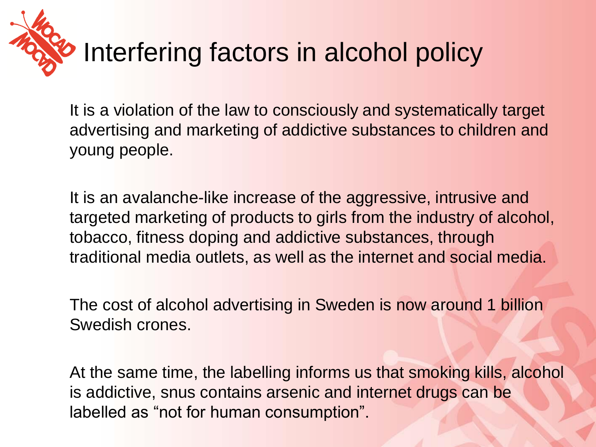

It is a violation of the law to consciously and systematically target advertising and marketing of addictive substances to children and young people.

It is an avalanche-like increase of the aggressive, intrusive and targeted marketing of products to girls from the industry of alcohol, tobacco, fitness doping and addictive substances, through traditional media outlets, as well as the internet and social media.

The cost of alcohol advertising in Sweden is now around 1 billion Swedish crones.

At the same time, the labelling informs us that smoking kills, alcohol is addictive, snus contains arsenic and internet drugs can be labelled as "not for human consumption".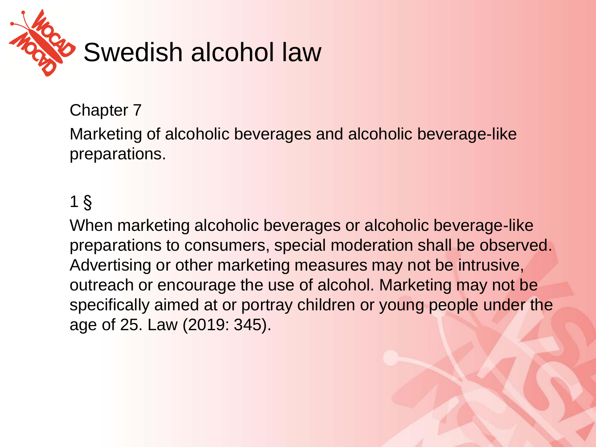

#### Chapter 7

Marketing of alcoholic beverages and alcoholic beverage-like preparations.

#### 1 §

When marketing alcoholic beverages or alcoholic beverage-like preparations to consumers, special moderation shall be observed. Advertising or other marketing measures may not be intrusive, outreach or encourage the use of alcohol. Marketing may not be specifically aimed at or portray children or young people under the age of 25. Law (2019: 345).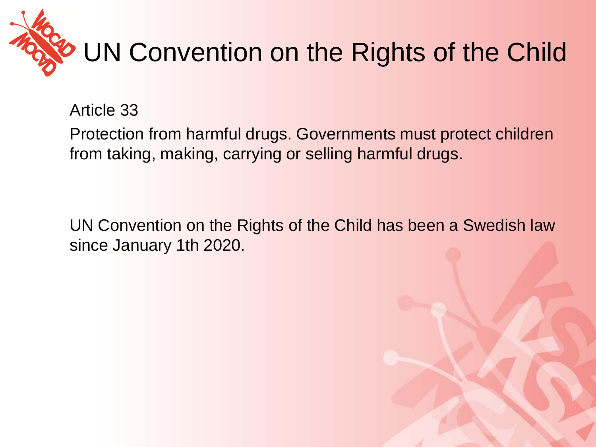

Article 33

Protection from harmful drugs. Governments must protect children from taking, making, carrying or selling harmful drugs.

UN Convention on the Rights of the Child has been a Swedish law since January 1th 2020.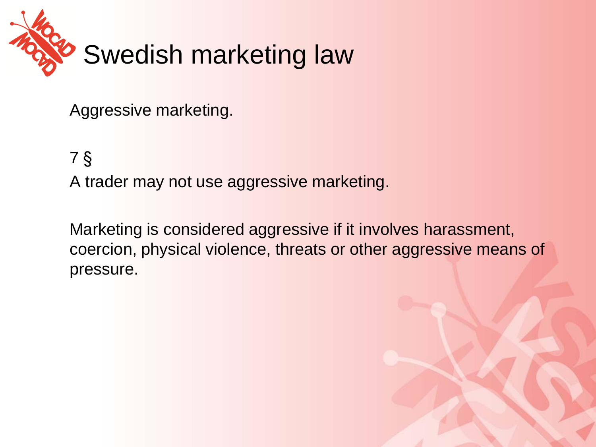

Aggressive marketing.

7 §

A trader may not use aggressive marketing.

Marketing is considered aggressive if it involves harassment, coercion, physical violence, threats or other aggressive means of pressure.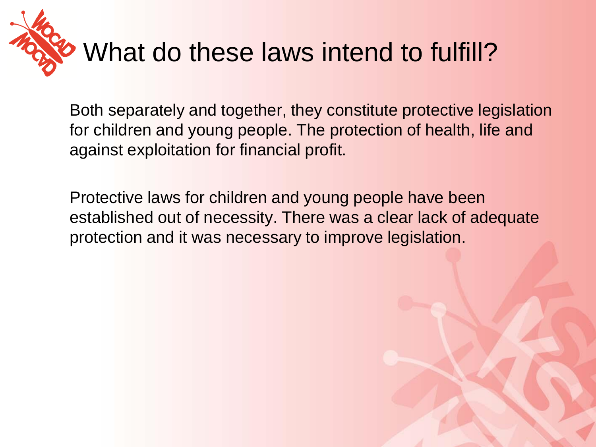

Both separately and together, they constitute protective legislation for children and young people. The protection of health, life and against exploitation for financial profit.

Protective laws for children and young people have been established out of necessity. There was a clear lack of adequate protection and it was necessary to improve legislation.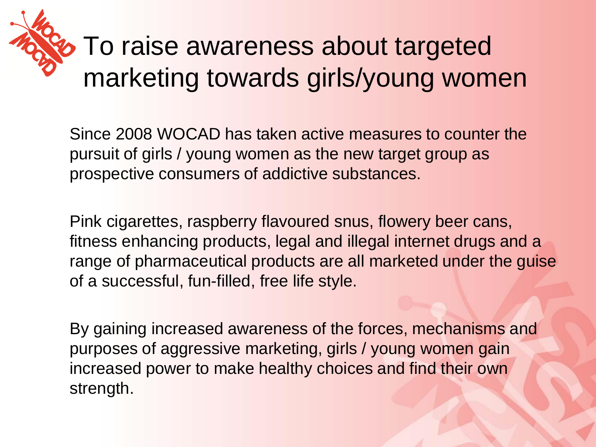# **To raise awareness about targeted** marketing towards girls/young women

Since 2008 WOCAD has taken active measures to counter the pursuit of girls / young women as the new target group as prospective consumers of addictive substances.

Pink cigarettes, raspberry flavoured snus, flowery beer cans, fitness enhancing products, legal and illegal internet drugs and a range of pharmaceutical products are all marketed under the guise of a successful, fun-filled, free life style.

By gaining increased awareness of the forces, mechanisms and purposes of aggressive marketing, girls / young women gain increased power to make healthy choices and find their own strength.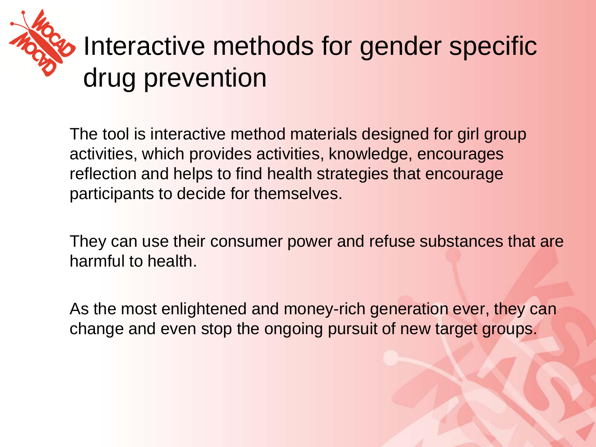

The tool is interactive method materials designed for girl group activities, which provides activities, knowledge, encourages reflection and helps to find health strategies that encourage participants to decide for themselves.

They can use their consumer power and refuse substances that are harmful to health.

As the most enlightened and money-rich generation ever, they can change and even stop the ongoing pursuit of new target groups.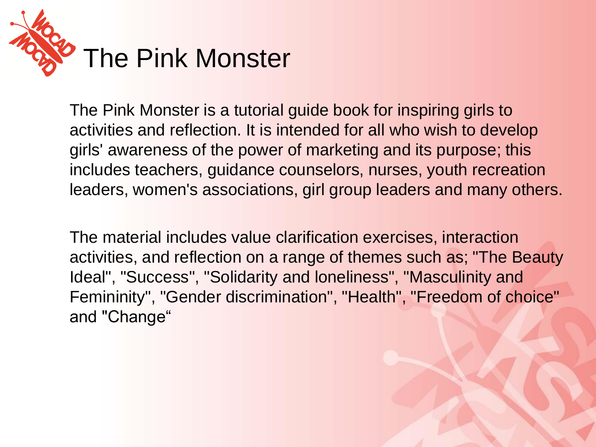

The Pink Monster is a tutorial guide book for inspiring girls to activities and reflection. It is intended for all who wish to develop girls' awareness of the power of marketing and its purpose; this includes teachers, guidance counselors, nurses, youth recreation leaders, women's associations, girl group leaders and many others.

The material includes value clarification exercises, interaction activities, and reflection on a range of themes such as; "The Beauty Ideal", "Success", "Solidarity and loneliness", "Masculinity and Femininity", "Gender discrimination", "Health", "Freedom of choice" and "Change"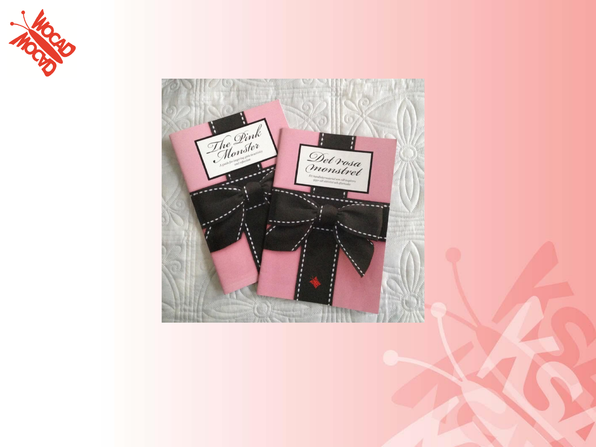

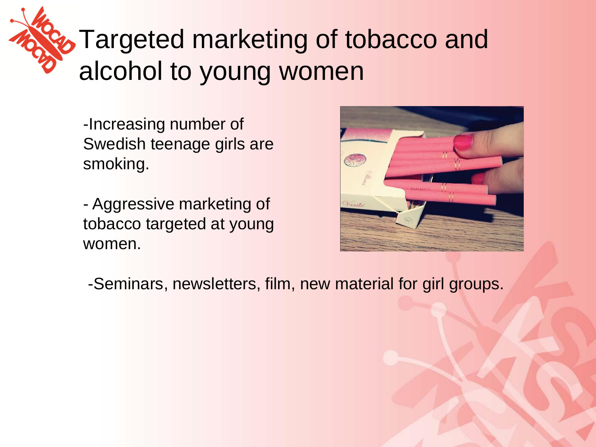### **Targeted marketing of tobacco and** alcohol to young women

-Increasing number of Swedish teenage girls are smoking.

- Aggressive marketing of tobacco targeted at young women.



-Seminars, newsletters, film, new material for girl groups.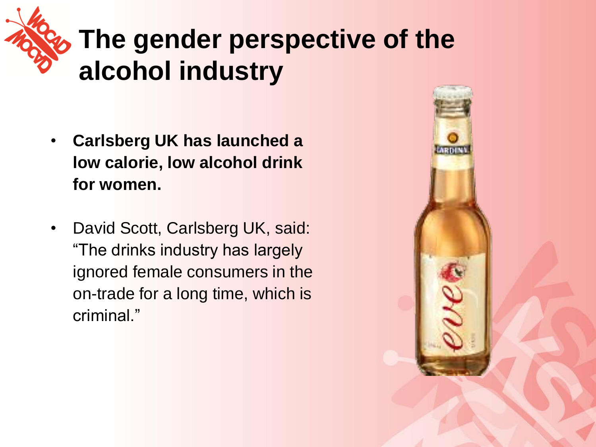

#### **The gender perspective of the alcohol industry**

- **Carlsberg UK has launched a low calorie, low alcohol drink for women.**
- David Scott, Carlsberg UK, said: "The drinks industry has largely ignored female consumers in the on-trade for a long time, which is criminal."

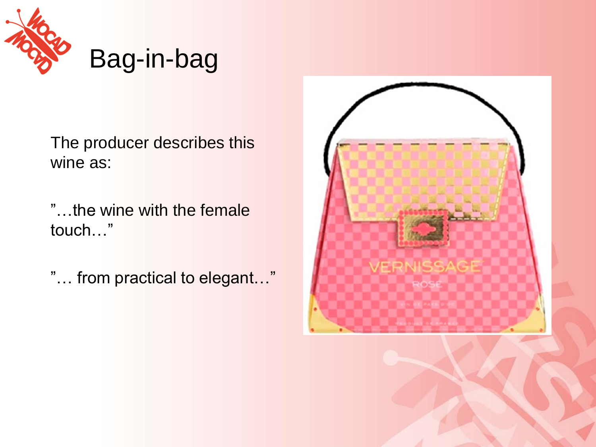

The producer describes this wine as:

"…the wine with the female touch…"

"… from practical to elegant…"

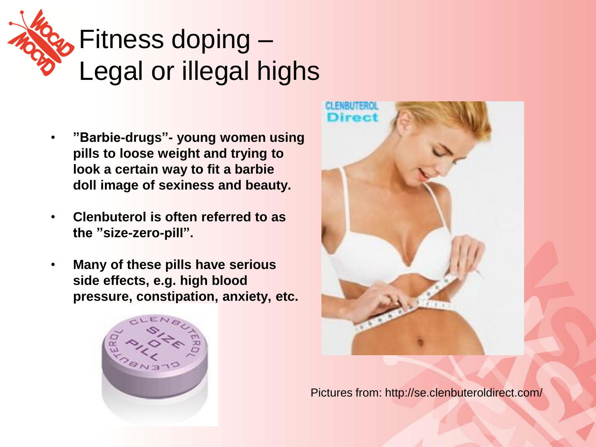

#### *b* Fitness doping – Legal or illegal highs

- **"Barbie-drugs"- young women using pills to loose weight and trying to look a certain way to fit a barbie doll image of sexiness and beauty.**
- **Clenbuterol is often referred to as the "size-zero-pill".**
- **Many of these pills have serious side effects, e.g. high blood pressure, constipation, anxiety, etc.**





Pictures from: http://se.clenbuteroldirect.com/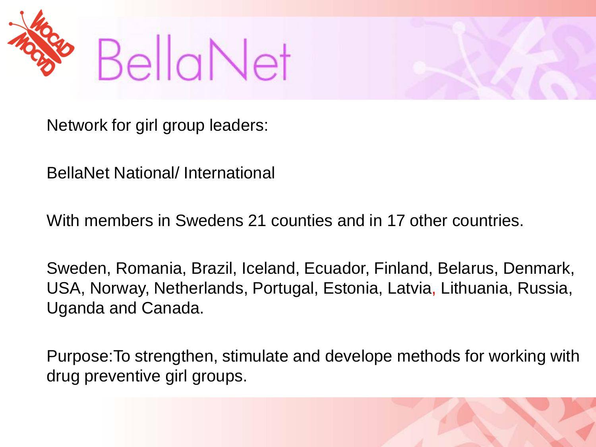



BellaNet National/ International

With members in Swedens 21 counties and in 17 other countries.

Sweden, Romania, Brazil, Iceland, Ecuador, Finland, Belarus, Denmark, USA, Norway, Netherlands, Portugal, Estonia, Latvia, Lithuania, Russia, Uganda and Canada.

Purpose:To strengthen, stimulate and develope methods for working with drug preventive girl groups.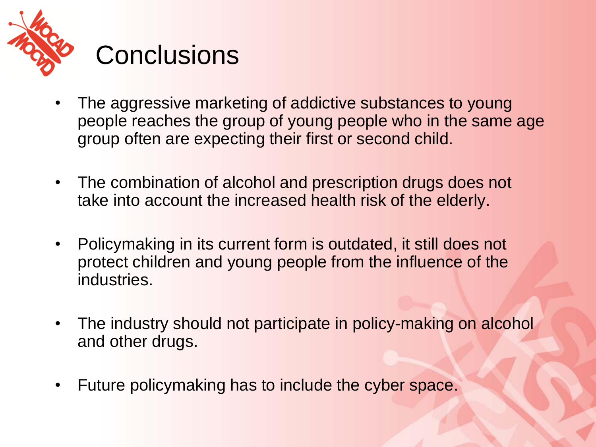

- The aggressive marketing of addictive substances to young people reaches the group of young people who in the same age group often are expecting their first or second child.
- The combination of alcohol and prescription drugs does not take into account the increased health risk of the elderly.
- Policymaking in its current form is outdated, it still does not protect children and young people from the influence of the industries.
- The industry should not participate in policy-making on alcohol and other drugs.
- Future policymaking has to include the cyber space.